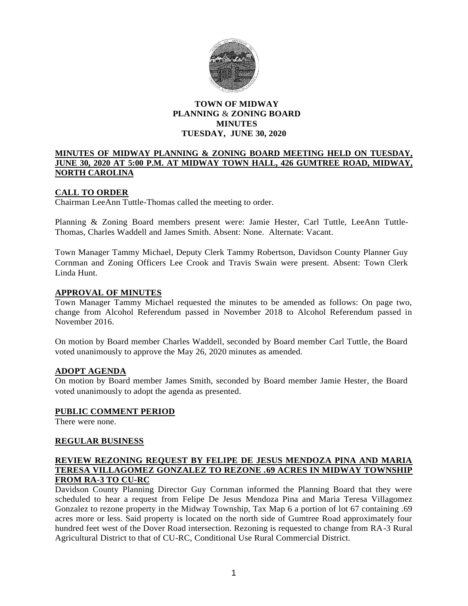

# **TOWN OF MIDWAY PLANNING** & **ZONING BOARD MINUTES TUESDAY, JUNE 30, 2020**

## **MINUTES OF MIDWAY PLANNING & ZONING BOARD MEETING HELD ON TUESDAY, JUNE 30, 2020 AT 5:00 P.M. AT MIDWAY TOWN HALL, 426 GUMTREE ROAD, MIDWAY, NORTH CAROLINA**

# **CALL TO ORDER**

Chairman LeeAnn Tuttle-Thomas called the meeting to order.

Planning & Zoning Board members present were: Jamie Hester, Carl Tuttle, LeeAnn Tuttle-Thomas, Charles Waddell and James Smith. Absent: None. Alternate: Vacant.

Town Manager Tammy Michael, Deputy Clerk Tammy Robertson, Davidson County Planner Guy Cornman and Zoning Officers Lee Crook and Travis Swain were present. Absent: Town Clerk Linda Hunt.

### **APPROVAL OF MINUTES**

Town Manager Tammy Michael requested the minutes to be amended as follows: On page two, change from Alcohol Referendum passed in November 2018 to Alcohol Referendum passed in November 2016.

On motion by Board member Charles Waddell, seconded by Board member Carl Tuttle, the Board voted unanimously to approve the May 26, 2020 minutes as amended.

### **ADOPT AGENDA**

On motion by Board member James Smith, seconded by Board member Jamie Hester, the Board voted unanimously to adopt the agenda as presented.

#### **PUBLIC COMMENT PERIOD**

There were none.

## **REGULAR BUSINESS**

### **REVIEW REZONING REQUEST BY FELIPE DE JESUS MENDOZA PINA AND MARIA TERESA VILLAGOMEZ GONZALEZ TO REZONE .69 ACRES IN MIDWAY TOWNSHIP FROM RA-3 TO CU-RC**

Davidson County Planning Director Guy Cornman informed the Planning Board that they were scheduled to hear a request from Felipe De Jesus Mendoza Pina and Maria Teresa Villagomez Gonzalez to rezone property in the Midway Township, Tax Map 6 a portion of lot 67 containing .69 acres more or less. Said property is located on the north side of Gumtree Road approximately four hundred feet west of the Dover Road intersection. Rezoning is requested to change from RA-3 Rural Agricultural District to that of CU-RC, Conditional Use Rural Commercial District.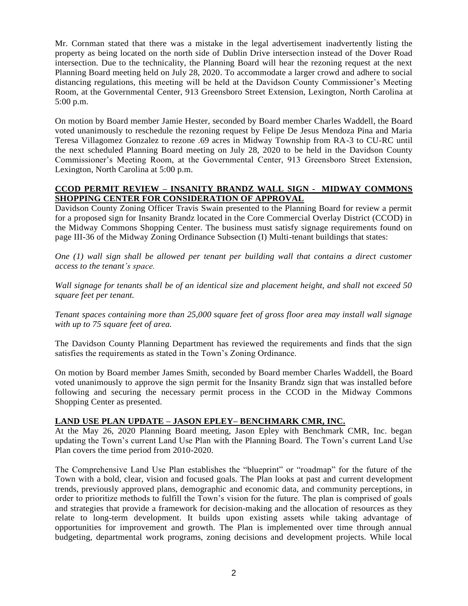Mr. Cornman stated that there was a mistake in the legal advertisement inadvertently listing the property as being located on the north side of Dublin Drive intersection instead of the Dover Road intersection. Due to the technicality, the Planning Board will hear the rezoning request at the next Planning Board meeting held on July 28, 2020. To accommodate a larger crowd and adhere to social distancing regulations, this meeting will be held at the Davidson County Commissioner's Meeting Room, at the Governmental Center, 913 Greensboro Street Extension, Lexington, North Carolina at 5:00 p.m.

On motion by Board member Jamie Hester, seconded by Board member Charles Waddell, the Board voted unanimously to reschedule the rezoning request by Felipe De Jesus Mendoza Pina and Maria Teresa Villagomez Gonzalez to rezone .69 acres in Midway Township from RA-3 to CU-RC until the next scheduled Planning Board meeting on July 28, 2020 to be held in the Davidson County Commissioner's Meeting Room, at the Governmental Center, 913 Greensboro Street Extension, Lexington, North Carolina at 5:00 p.m.

# **CCOD PERMIT REVIEW – INSANITY BRANDZ WALL SIGN - MIDWAY COMMONS SHOPPING CENTER FOR CONSIDERATION OF APPROVAL**

Davidson County Zoning Officer Travis Swain presented to the Planning Board for review a permit for a proposed sign for Insanity Brandz located in the Core Commercial Overlay District (CCOD) in the Midway Commons Shopping Center. The business must satisfy signage requirements found on page III-36 of the Midway Zoning Ordinance Subsection (I) Multi-tenant buildings that states:

*One (1) wall sign shall be allowed per tenant per building wall that contains a direct customer access to the tenant's space.*

*Wall signage for tenants shall be of an identical size and placement height, and shall not exceed 50 square feet per tenant.*

*Tenant spaces containing more than 25,000 square feet of gross floor area may install wall signage with up to 75 square feet of area.*

The Davidson County Planning Department has reviewed the requirements and finds that the sign satisfies the requirements as stated in the Town's Zoning Ordinance.

On motion by Board member James Smith, seconded by Board member Charles Waddell, the Board voted unanimously to approve the sign permit for the Insanity Brandz sign that was installed before following and securing the necessary permit process in the CCOD in the Midway Commons Shopping Center as presented.

# **LAND USE PLAN UPDATE – JASON EPLEY– BENCHMARK CMR, INC.**

At the May 26, 2020 Planning Board meeting, Jason Epley with Benchmark CMR, Inc. began updating the Town's current Land Use Plan with the Planning Board. The Town's current Land Use Plan covers the time period from 2010-2020.

The Comprehensive Land Use Plan establishes the "blueprint" or "roadmap" for the future of the Town with a bold, clear, vision and focused goals. The Plan looks at past and current development trends, previously approved plans, demographic and economic data, and community perceptions, in order to prioritize methods to fulfill the Town's vision for the future. The plan is comprised of goals and strategies that provide a framework for decision-making and the allocation of resources as they relate to long-term development. It builds upon existing assets while taking advantage of opportunities for improvement and growth. The Plan is implemented over time through annual budgeting, departmental work programs, zoning decisions and development projects. While local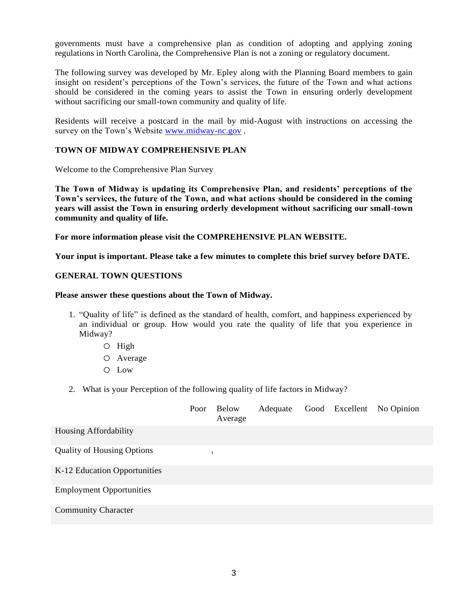governments must have a comprehensive plan as condition of adopting and applying zoning regulations in North Carolina, the Comprehensive Plan is not a zoning or regulatory document.

The following survey was developed by Mr. Epley along with the Planning Board members to gain insight on resident's perceptions of the Town's services, the future of the Town and what actions should be considered in the coming years to assist the Town in ensuring orderly development without sacrificing our small-town community and quality of life.

Residents will receive a postcard in the mail by mid-August with instructions on accessing the survey on the Town's Website [www.midway-nc.gov](http://www.midway-nc.gov/) .

## **TOWN OF MIDWAY COMPREHENSIVE PLAN**

Welcome to the Comprehensive Plan Survey

**The Town of Midway is updating its Comprehensive Plan, and residents' perceptions of the Town's services, the future of the Town, and what actions should be considered in the coming years will assist the Town in ensuring orderly development without sacrificing our small-town community and quality of life.**

**For more information please visit the COMPREHENSIVE PLAN WEBSITE.**

**Your input is important. Please take a few minutes to complete this brief survey before DATE.**

### **GENERAL TOWN QUESTIONS**

#### **Please answer these questions about the Town of Midway.**

- 1. "Quality of life" is defined as the standard of health, comfort, and happiness experienced by an individual or group. How would you rate the quality of life that you experience in Midway?
	- o High
	- o Average
	- o Low
- 2. What is your Perception of the following quality of life factors in Midway?

|                                   | Poor | Below<br>Average | Adequate |  | Good Excellent No Opinion |
|-----------------------------------|------|------------------|----------|--|---------------------------|
| Housing Affordability             |      |                  |          |  |                           |
| <b>Quality of Housing Options</b> |      |                  |          |  |                           |
| K-12 Education Opportunities      |      |                  |          |  |                           |
| <b>Employment Opportunities</b>   |      |                  |          |  |                           |
| <b>Community Character</b>        |      |                  |          |  |                           |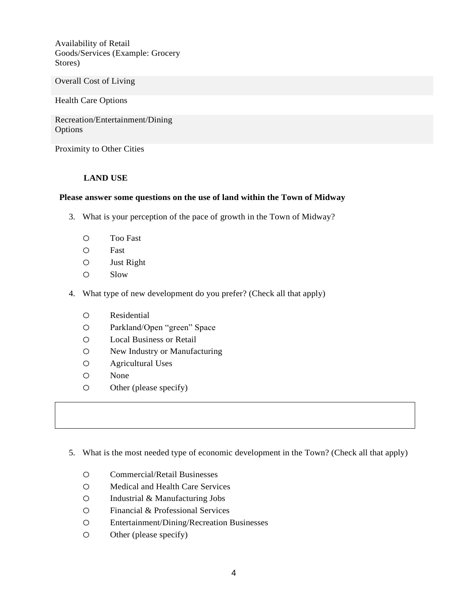Availability of Retail Goods/Services (Example: Grocery Stores)

Overall Cost of Living

Health Care Options

Recreation/Entertainment/Dining **Options** 

Proximity to Other Cities

## **LAND USE**

### **Please answer some questions on the use of land within the Town of Midway**

- 3. What is your perception of the pace of growth in the Town of Midway?
	- o Too Fast
	- o Fast
	- o Just Right
	- o Slow
- 4. What type of new development do you prefer? (Check all that apply)
	- o Residential
	- o Parkland/Open "green" Space
	- o Local Business or Retail
	- o New Industry or Manufacturing
	- o Agricultural Uses
	- o None
	- o Other (please specify)

## 5. What is the most needed type of economic development in the Town? (Check all that apply)

- o Commercial/Retail Businesses
- o Medical and Health Care Services
- o Industrial & Manufacturing Jobs
- o Financial & Professional Services
- o Entertainment/Dining/Recreation Businesses
- o Other (please specify)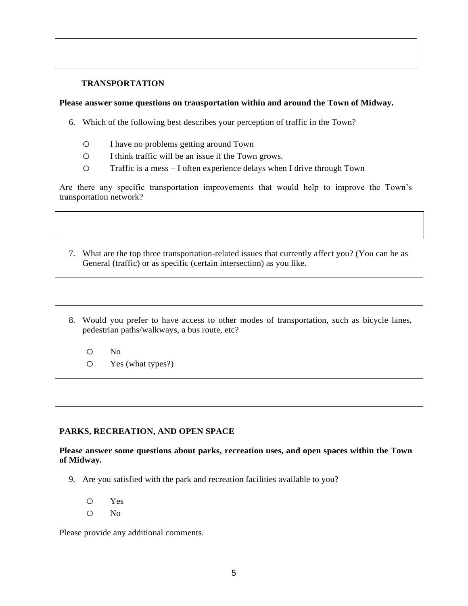## **TRANSPORTATION**

### **Please answer some questions on transportation within and around the Town of Midway.**

- 6. Which of the following best describes your perception of traffic in the Town?
	- o I have no problems getting around Town
	- o I think traffic will be an issue if the Town grows.
	- o Traffic is a mess I often experience delays when I drive through Town

Are there any specific transportation improvements that would help to improve the Town's transportation network?

- 7. What are the top three transportation-related issues that currently affect you? (You can be as General (traffic) or as specific (certain intersection) as you like.
- 8. Would you prefer to have access to other modes of transportation, such as bicycle lanes, pedestrian paths/walkways, a bus route, etc?
	- o No
	- o Yes (what types?)

### **PARKS, RECREATION, AND OPEN SPACE**

**Please answer some questions about parks, recreation uses, and open spaces within the Town of Midway.**

9. Are you satisfied with the park and recreation facilities available to you?

o Yes

o No

Please provide any additional comments.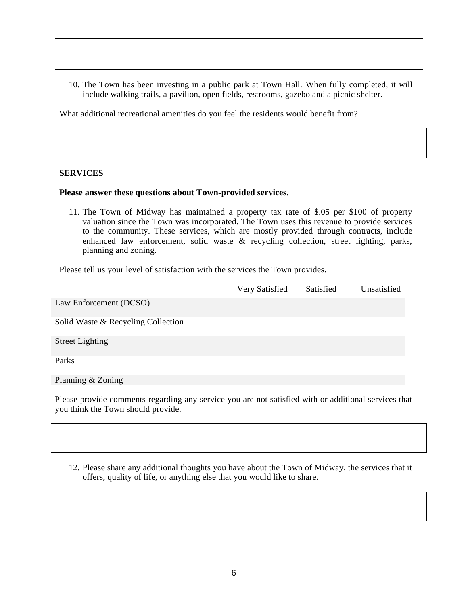10. The Town has been investing in a public park at Town Hall. When fully completed, it will include walking trails, a pavilion, open fields, restrooms, gazebo and a picnic shelter.

What additional recreational amenities do you feel the residents would benefit from?

### **SERVICES**

#### **Please answer these questions about Town-provided services.**

11. The Town of Midway has maintained a property tax rate of \$.05 per \$100 of property valuation since the Town was incorporated. The Town uses this revenue to provide services to the community. These services, which are mostly provided through contracts, include enhanced law enforcement, solid waste & recycling collection, street lighting, parks, planning and zoning.

Please tell us your level of satisfaction with the services the Town provides.

|                                    | Very Satisfied | Satisfied | Unsatisfied |
|------------------------------------|----------------|-----------|-------------|
| Law Enforcement (DCSO)             |                |           |             |
| Solid Waste & Recycling Collection |                |           |             |
| <b>Street Lighting</b>             |                |           |             |
| Parks                              |                |           |             |
| Planning & Zoning                  |                |           |             |

Please provide comments regarding any service you are not satisfied with or additional services that you think the Town should provide.

12. Please share any additional thoughts you have about the Town of Midway, the services that it offers, quality of life, or anything else that you would like to share.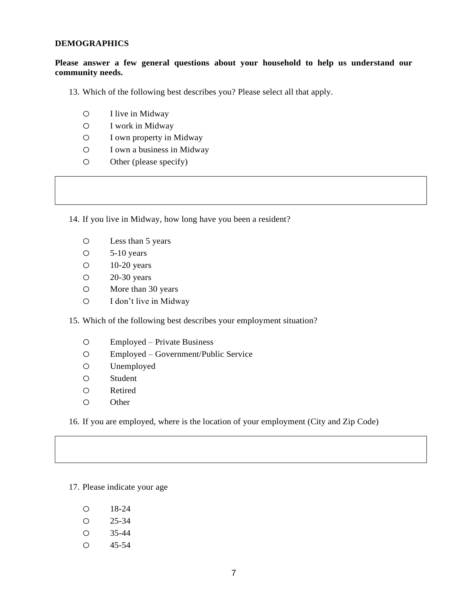### **DEMOGRAPHICS**

# **Please answer a few general questions about your household to help us understand our community needs.**

- 13. Which of the following best describes you? Please select all that apply.
	- o I live in Midway
	- o I work in Midway
	- o I own property in Midway
	- o I own a business in Midway
	- o Other (please specify)

14. If you live in Midway, how long have you been a resident?

- o Less than 5 years
- o 5-10 years
- o 10-20 years
- o 20-30 years
- o More than 30 years
- o I don't live in Midway

15. Which of the following best describes your employment situation?

- o Employed Private Business
- o Employed Government/Public Service
- o Unemployed
- o Student
- o Retired
- o Other

16. If you are employed, where is the location of your employment (City and Zip Code)

17. Please indicate your age

- o 18-24
- o 25-34
- o 35-44
- o 45-54